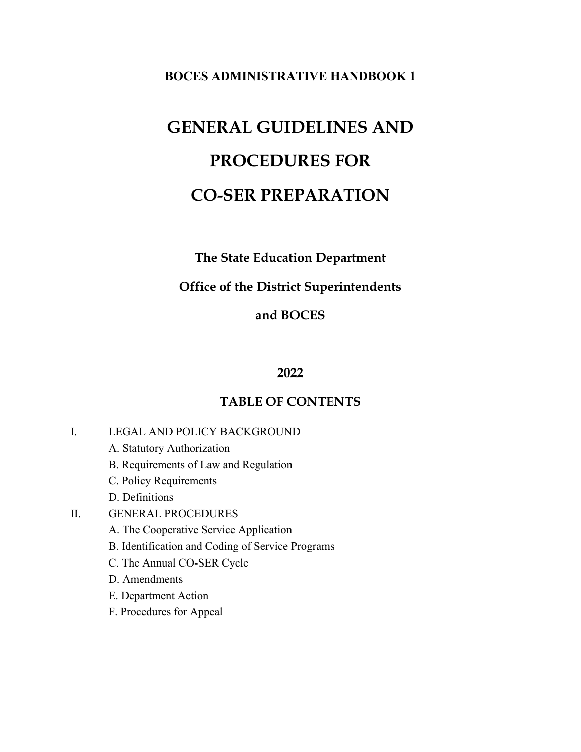#### **BOCES ADMINISTRATIVE HANDBOOK 1**

# **GENERAL GUIDELINES AND PROCEDURES FOR CO-SER PREPARATION**

## **The State Education Department**

#### **Office of the District Superintendents**

#### **and BOCES**

#### **2022**

#### **TABLE OF CONTENTS**

#### I. LEGAL AND POLICY BACKGROUND

- A. Statutory Authorization
- B. Requirements of Law and Regulation
- C. Policy Requirements
- D. Definitions

#### II. GENERAL PROCEDURES

- A. The Cooperative Service Application
- B. Identification and Coding of Service Programs
- C. The Annual CO-SER Cycle
- D. Amendments
- E. Department Action
- F. Procedures for Appeal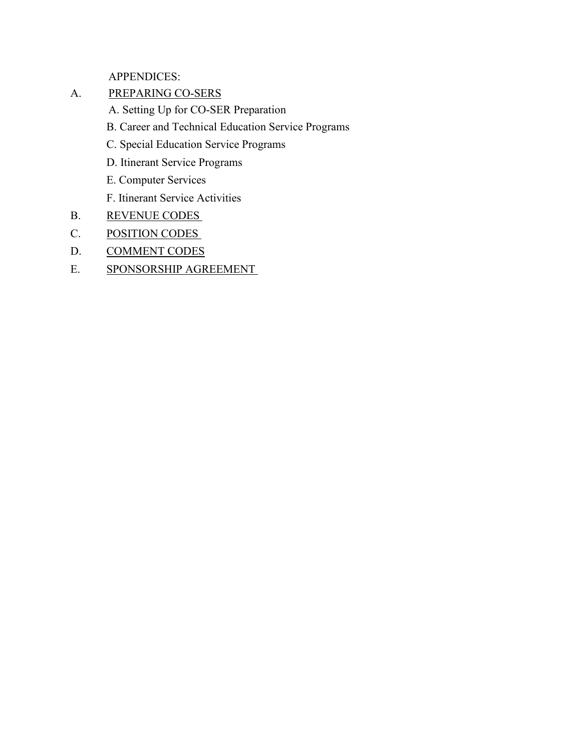APPENDICES:

- A. PREPARING CO-SERS
	- A. Setting Up for CO-SER Preparation
	- B. Career and Technical Education Service Programs
	- C. Special Education Service Programs
	- D. Itinerant Service Programs
	- E. Computer Services
	- F. Itinerant Service Activities
- B. REVENUE CODES
- C. POSITION CODES
- D. COMMENT CODES
- E. SPONSORSHIP AGREEMENT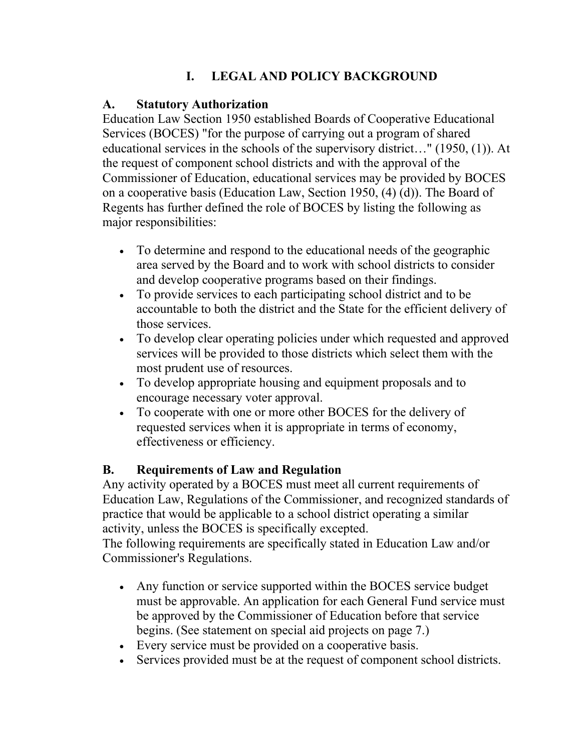# **I. LEGAL AND POLICY BACKGROUND**

## **A. Statutory Authorization**

Education Law Section 1950 established Boards of Cooperative Educational Services (BOCES) "for the purpose of carrying out a program of shared educational services in the schools of the supervisory district…" (1950, (1)). At the request of component school districts and with the approval of the Commissioner of Education, educational services may be provided by BOCES on a cooperative basis (Education Law, Section 1950, (4) (d)). The Board of Regents has further defined the role of BOCES by listing the following as major responsibilities:

- To determine and respond to the educational needs of the geographic area served by the Board and to work with school districts to consider and develop cooperative programs based on their findings.
- To provide services to each participating school district and to be accountable to both the district and the State for the efficient delivery of those services.
- To develop clear operating policies under which requested and approved services will be provided to those districts which select them with the most prudent use of resources.
- To develop appropriate housing and equipment proposals and to encourage necessary voter approval.
- To cooperate with one or more other BOCES for the delivery of requested services when it is appropriate in terms of economy, effectiveness or efficiency.

# **B. Requirements of Law and Regulation**

Any activity operated by a BOCES must meet all current requirements of Education Law, Regulations of the Commissioner, and recognized standards of practice that would be applicable to a school district operating a similar activity, unless the BOCES is specifically excepted.

The following requirements are specifically stated in Education Law and/or Commissioner's Regulations.

- Any function or service supported within the BOCES service budget must be approvable. An application for each General Fund service must be approved by the Commissioner of Education before that service begins. (See statement on special aid projects on page 7.)
- Every service must be provided on a cooperative basis.
- Services provided must be at the request of component school districts.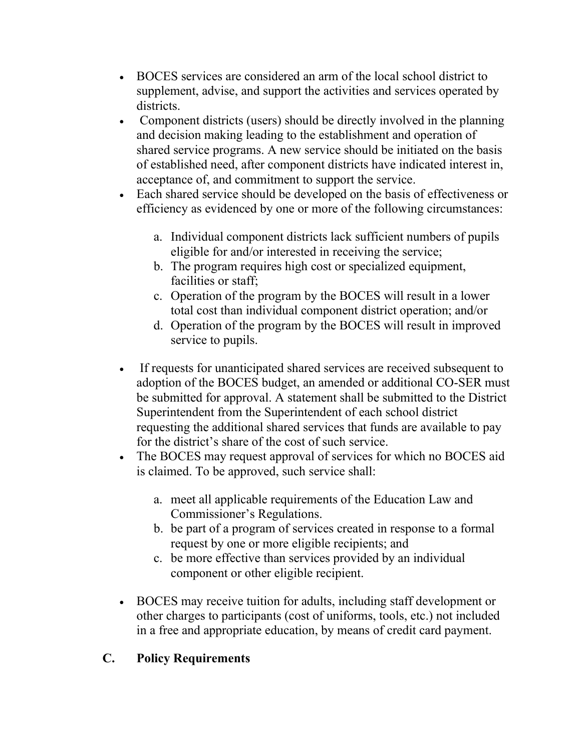- BOCES services are considered an arm of the local school district to supplement, advise, and support the activities and services operated by districts.
- Component districts (users) should be directly involved in the planning and decision making leading to the establishment and operation of shared service programs. A new service should be initiated on the basis of established need, after component districts have indicated interest in, acceptance of, and commitment to support the service.
- Each shared service should be developed on the basis of effectiveness or efficiency as evidenced by one or more of the following circumstances:
	- a. Individual component districts lack sufficient numbers of pupils eligible for and/or interested in receiving the service;
	- b. The program requires high cost or specialized equipment, facilities or staff;
	- c. Operation of the program by the BOCES will result in a lower total cost than individual component district operation; and/or
	- d. Operation of the program by the BOCES will result in improved service to pupils.
- If requests for unanticipated shared services are received subsequent to adoption of the BOCES budget, an amended or additional CO-SER must be submitted for approval. A statement shall be submitted to the District Superintendent from the Superintendent of each school district requesting the additional shared services that funds are available to pay for the district's share of the cost of such service.
- The BOCES may request approval of services for which no BOCES aid is claimed. To be approved, such service shall:
	- a. meet all applicable requirements of the Education Law and Commissioner's Regulations.
	- b. be part of a program of services created in response to a formal request by one or more eligible recipients; and
	- c. be more effective than services provided by an individual component or other eligible recipient.
- BOCES may receive tuition for adults, including staff development or other charges to participants (cost of uniforms, tools, etc.) not included in a free and appropriate education, by means of credit card payment.

# **C. Policy Requirements**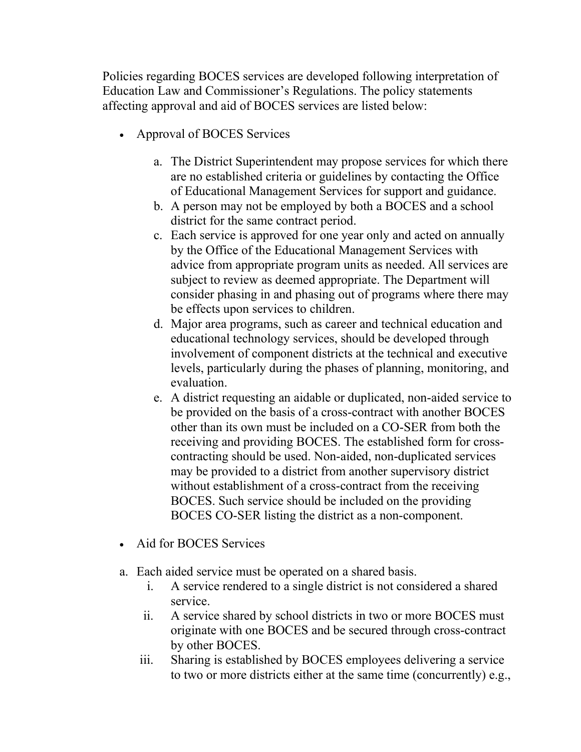Policies regarding BOCES services are developed following interpretation of Education Law and Commissioner's Regulations. The policy statements affecting approval and aid of BOCES services are listed below:

- Approval of BOCES Services
	- a. The District Superintendent may propose services for which there are no established criteria or guidelines by contacting the Office of Educational Management Services for support and guidance.
	- b. A person may not be employed by both a BOCES and a school district for the same contract period.
	- c. Each service is approved for one year only and acted on annually by the Office of the Educational Management Services with advice from appropriate program units as needed. All services are subject to review as deemed appropriate. The Department will consider phasing in and phasing out of programs where there may be effects upon services to children.
	- d. Major area programs, such as career and technical education and educational technology services, should be developed through involvement of component districts at the technical and executive levels, particularly during the phases of planning, monitoring, and evaluation.
	- e. A district requesting an aidable or duplicated, non-aided service to be provided on the basis of a cross-contract with another BOCES other than its own must be included on a CO-SER from both the receiving and providing BOCES. The established form for crosscontracting should be used. Non-aided, non-duplicated services may be provided to a district from another supervisory district without establishment of a cross-contract from the receiving BOCES. Such service should be included on the providing BOCES CO-SER listing the district as a non-component.
- Aid for BOCES Services
- a. Each aided service must be operated on a shared basis.
	- i. A service rendered to a single district is not considered a shared service.
	- ii. A service shared by school districts in two or more BOCES must originate with one BOCES and be secured through cross-contract by other BOCES.
	- iii. Sharing is established by BOCES employees delivering a service to two or more districts either at the same time (concurrently) e.g.,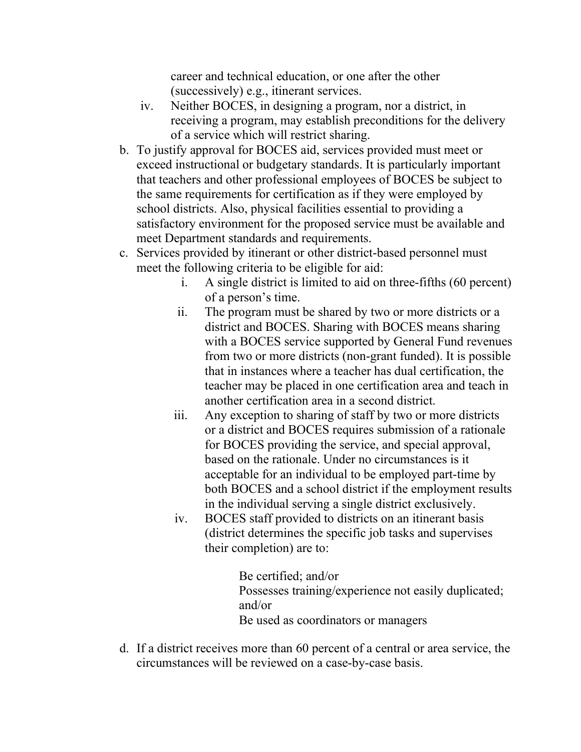career and technical education, or one after the other (successively) e.g., itinerant services.

- iv. Neither BOCES, in designing a program, nor a district, in receiving a program, may establish preconditions for the delivery of a service which will restrict sharing.
- b. To justify approval for BOCES aid, services provided must meet or exceed instructional or budgetary standards. It is particularly important that teachers and other professional employees of BOCES be subject to the same requirements for certification as if they were employed by school districts. Also, physical facilities essential to providing a satisfactory environment for the proposed service must be available and meet Department standards and requirements.
- c. Services provided by itinerant or other district-based personnel must meet the following criteria to be eligible for aid:
	- i. A single district is limited to aid on three-fifths (60 percent) of a person's time.
	- ii. The program must be shared by two or more districts or a district and BOCES. Sharing with BOCES means sharing with a BOCES service supported by General Fund revenues from two or more districts (non-grant funded). It is possible that in instances where a teacher has dual certification, the teacher may be placed in one certification area and teach in another certification area in a second district.
	- iii. Any exception to sharing of staff by two or more districts or a district and BOCES requires submission of a rationale for BOCES providing the service, and special approval, based on the rationale. Under no circumstances is it acceptable for an individual to be employed part-time by both BOCES and a school district if the employment results in the individual serving a single district exclusively.
	- iv. BOCES staff provided to districts on an itinerant basis (district determines the specific job tasks and supervises their completion) are to:

Be certified; and/or Possesses training/experience not easily duplicated; and/or Be used as coordinators or managers

d. If a district receives more than 60 percent of a central or area service, the circumstances will be reviewed on a case-by-case basis.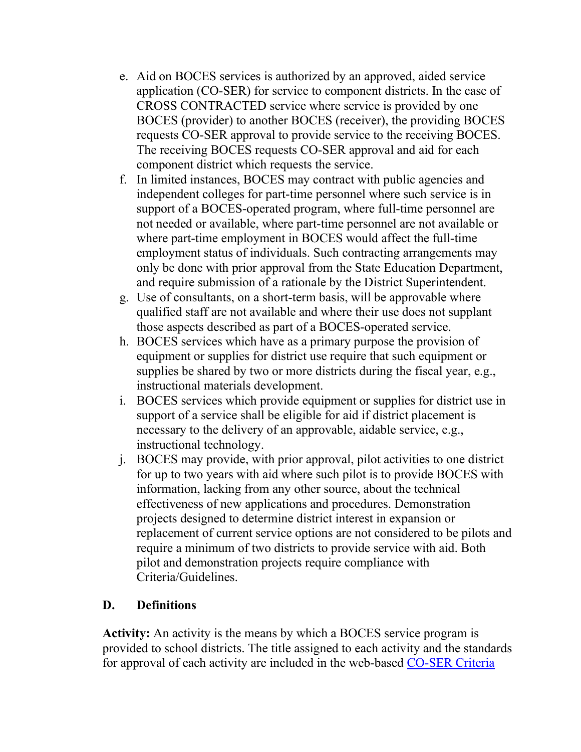- e. Aid on BOCES services is authorized by an approved, aided service application (CO-SER) for service to component districts. In the case of CROSS CONTRACTED service where service is provided by one BOCES (provider) to another BOCES (receiver), the providing BOCES requests CO-SER approval to provide service to the receiving BOCES. The receiving BOCES requests CO-SER approval and aid for each component district which requests the service.
- f. In limited instances, BOCES may contract with public agencies and independent colleges for part-time personnel where such service is in support of a BOCES-operated program, where full-time personnel are not needed or available, where part-time personnel are not available or where part-time employment in BOCES would affect the full-time employment status of individuals. Such contracting arrangements may only be done with prior approval from the State Education Department, and require submission of a rationale by the District Superintendent.
- g. Use of consultants, on a short-term basis, will be approvable where qualified staff are not available and where their use does not supplant those aspects described as part of a BOCES-operated service.
- h. BOCES services which have as a primary purpose the provision of equipment or supplies for district use require that such equipment or supplies be shared by two or more districts during the fiscal year, e.g., instructional materials development.
- i. BOCES services which provide equipment or supplies for district use in support of a service shall be eligible for aid if district placement is necessary to the delivery of an approvable, aidable service, e.g., instructional technology.
- j. BOCES may provide, with prior approval, pilot activities to one district for up to two years with aid where such pilot is to provide BOCES with information, lacking from any other source, about the technical effectiveness of new applications and procedures. Demonstration projects designed to determine district interest in expansion or replacement of current service options are not considered to be pilots and require a minimum of two districts to provide service with aid. Both pilot and demonstration projects require compliance with Criteria/Guidelines.

## **D. Definitions**

**Activity:** An activity is the means by which a BOCES service program is provided to school districts. The title assigned to each activity and the standards for approval of each activity are included in the web-based [CO-SER Criteria](https://eservices.nysed.gov/srr/ccgs_welcome)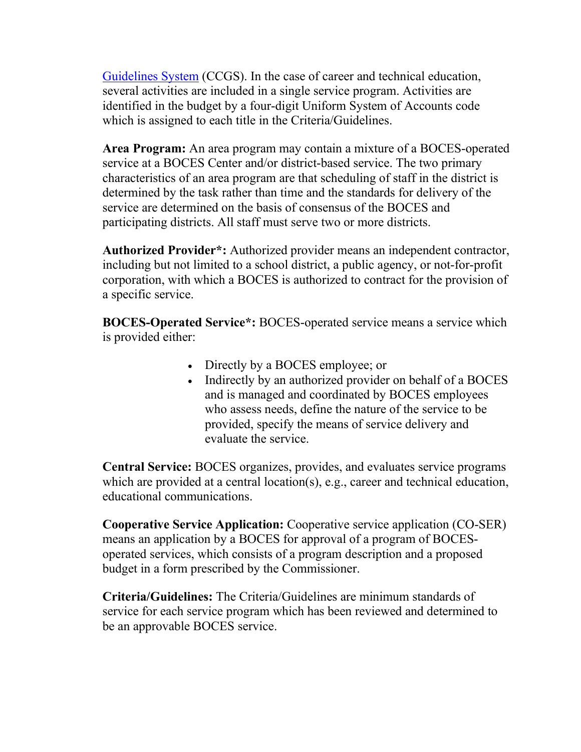[Guidelines System](https://eservices.nysed.gov/srr/ccgs_welcome) (CCGS). In the case of career and technical education, several activities are included in a single service program. Activities are identified in the budget by a four-digit Uniform System of Accounts code which is assigned to each title in the Criteria/Guidelines.

**Area Program:** An area program may contain a mixture of a BOCES-operated service at a BOCES Center and/or district-based service. The two primary characteristics of an area program are that scheduling of staff in the district is determined by the task rather than time and the standards for delivery of the service are determined on the basis of consensus of the BOCES and participating districts. All staff must serve two or more districts.

**Authorized Provider\*:** Authorized provider means an independent contractor, including but not limited to a school district, a public agency, or not-for-profit corporation, with which a BOCES is authorized to contract for the provision of a specific service.

**BOCES-Operated Service\*:** BOCES-operated service means a service which is provided either:

- Directly by a BOCES employee; or
- Indirectly by an authorized provider on behalf of a BOCES and is managed and coordinated by BOCES employees who assess needs, define the nature of the service to be provided, specify the means of service delivery and evaluate the service.

**Central Service:** BOCES organizes, provides, and evaluates service programs which are provided at a central location(s), e.g., career and technical education, educational communications.

**Cooperative Service Application:** Cooperative service application (CO-SER) means an application by a BOCES for approval of a program of BOCESoperated services, which consists of a program description and a proposed budget in a form prescribed by the Commissioner.

**Criteria/Guidelines:** The Criteria/Guidelines are minimum standards of service for each service program which has been reviewed and determined to be an approvable BOCES service.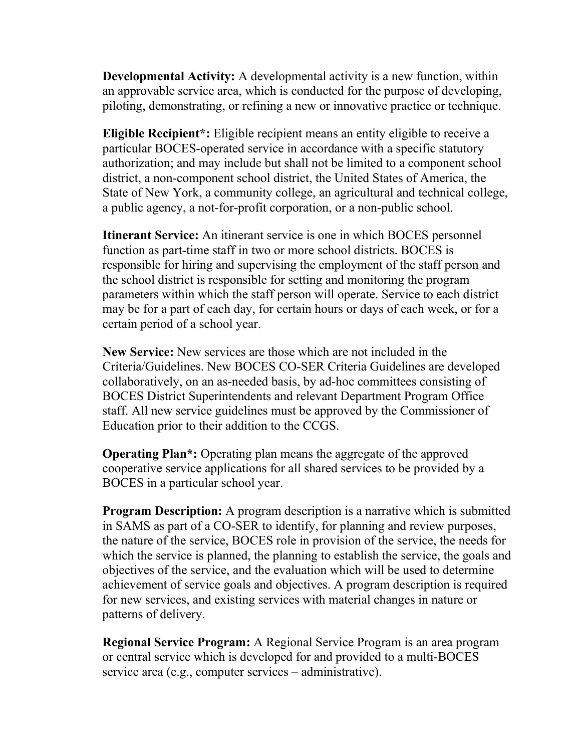**Developmental Activity:** A developmental activity is a new function, within an approvable service area, which is conducted for the purpose of developing, piloting, demonstrating, or refining a new or innovative practice or technique.

**Eligible Recipient\*:** Eligible recipient means an entity eligible to receive a particular BOCES-operated service in accordance with a specific statutory authorization; and may include but shall not be limited to a component school district, a non-component school district, the United States of America, the State of New York, a community college, an agricultural and technical college, a public agency, a not-for-profit corporation, or a non-public school.

**Itinerant Service:** An itinerant service is one in which BOCES personnel function as part-time staff in two or more school districts. BOCES is responsible for hiring and supervising the employment of the staff person and the school district is responsible for setting and monitoring the program parameters within which the staff person will operate. Service to each district may be for a part of each day, for certain hours or days of each week, or for a certain period of a school year.

**New Service:** New services are those which are not included in the Criteria/Guidelines. New BOCES CO-SER Criteria Guidelines are developed collaboratively, on an as-needed basis, by ad-hoc committees consisting of BOCES District Superintendents and relevant Department Program Office staff. All new service guidelines must be approved by the Commissioner of Education prior to their addition to the CCGS.

**Operating Plan\*:** Operating plan means the aggregate of the approved cooperative service applications for all shared services to be provided by a BOCES in a particular school year.

**Program Description:** A program description is a narrative which is submitted in SAMS as part of a CO-SER to identify, for planning and review purposes, the nature of the service, BOCES role in provision of the service, the needs for which the service is planned, the planning to establish the service, the goals and objectives of the service, and the evaluation which will be used to determine achievement of service goals and objectives. A program description is required for new services, and existing services with material changes in nature or patterns of delivery.

**Regional Service Program:** A Regional Service Program is an area program or central service which is developed for and provided to a multi-BOCES service area (e.g., computer services – administrative).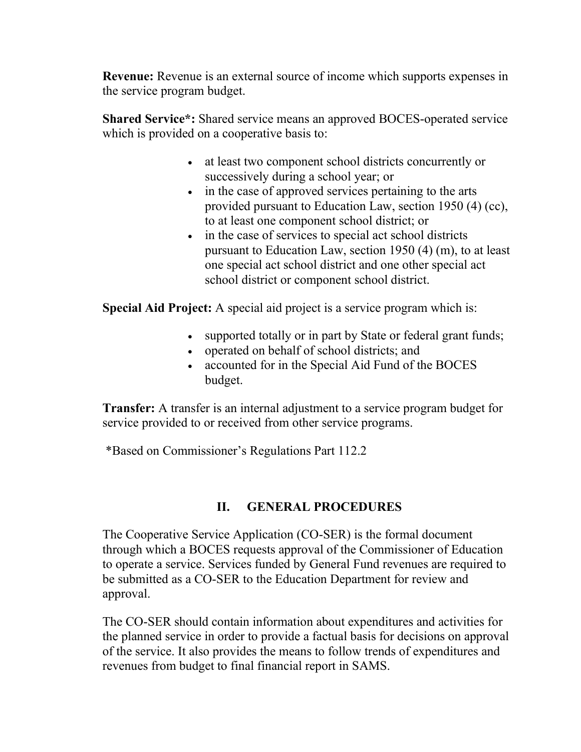**Revenue:** Revenue is an external source of income which supports expenses in the service program budget.

**Shared Service\*:** Shared service means an approved BOCES-operated service which is provided on a cooperative basis to:

- at least two component school districts concurrently or successively during a school year; or
- in the case of approved services pertaining to the arts provided pursuant to Education Law, section 1950 (4) (cc), to at least one component school district; or
- in the case of services to special act school districts pursuant to Education Law, section 1950 (4) (m), to at least one special act school district and one other special act school district or component school district.

**Special Aid Project:** A special aid project is a service program which is:

- supported totally or in part by State or federal grant funds;
- operated on behalf of school districts; and
- accounted for in the Special Aid Fund of the BOCES budget.

**Transfer:** A transfer is an internal adjustment to a service program budget for service provided to or received from other service programs.

\*Based on Commissioner's Regulations Part 112.2

# **II. GENERAL PROCEDURES**

The Cooperative Service Application (CO-SER) is the formal document through which a BOCES requests approval of the Commissioner of Education to operate a service. Services funded by General Fund revenues are required to be submitted as a CO-SER to the Education Department for review and approval.

The CO-SER should contain information about expenditures and activities for the planned service in order to provide a factual basis for decisions on approval of the service. It also provides the means to follow trends of expenditures and revenues from budget to final financial report in SAMS.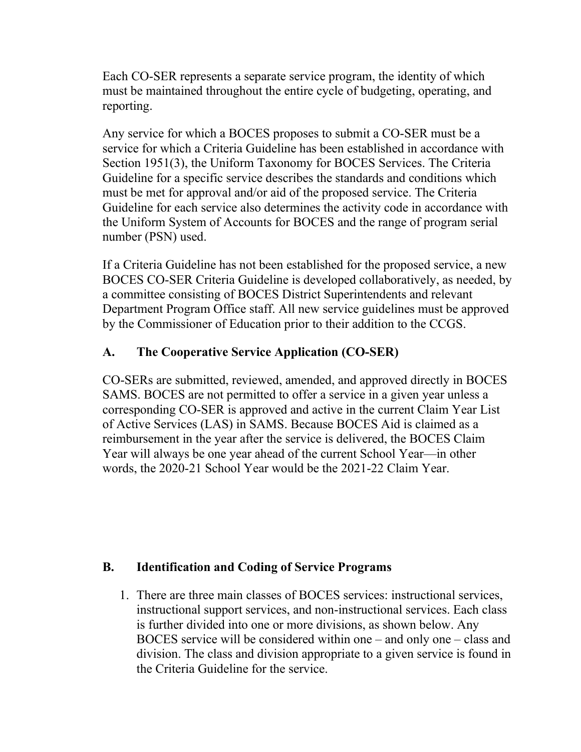Each CO-SER represents a separate service program, the identity of which must be maintained throughout the entire cycle of budgeting, operating, and reporting.

Any service for which a BOCES proposes to submit a CO-SER must be a service for which a Criteria Guideline has been established in accordance with Section 1951(3), the Uniform Taxonomy for BOCES Services. The Criteria Guideline for a specific service describes the standards and conditions which must be met for approval and/or aid of the proposed service. The Criteria Guideline for each service also determines the activity code in accordance with the Uniform System of Accounts for BOCES and the range of program serial number (PSN) used.

If a Criteria Guideline has not been established for the proposed service, a new BOCES CO-SER Criteria Guideline is developed collaboratively, as needed, by a committee consisting of BOCES District Superintendents and relevant Department Program Office staff. All new service guidelines must be approved by the Commissioner of Education prior to their addition to the CCGS.

## **A. The Cooperative Service Application (CO-SER)**

CO-SERs are submitted, reviewed, amended, and approved directly in BOCES SAMS. BOCES are not permitted to offer a service in a given year unless a corresponding CO-SER is approved and active in the current Claim Year List of Active Services (LAS) in SAMS. Because BOCES Aid is claimed as a reimbursement in the year after the service is delivered, the BOCES Claim Year will always be one year ahead of the current School Year—in other words, the 2020-21 School Year would be the 2021-22 Claim Year.

## **B. Identification and Coding of Service Programs**

1. There are three main classes of BOCES services: instructional services, instructional support services, and non-instructional services. Each class is further divided into one or more divisions, as shown below. Any BOCES service will be considered within one – and only one – class and division. The class and division appropriate to a given service is found in the Criteria Guideline for the service.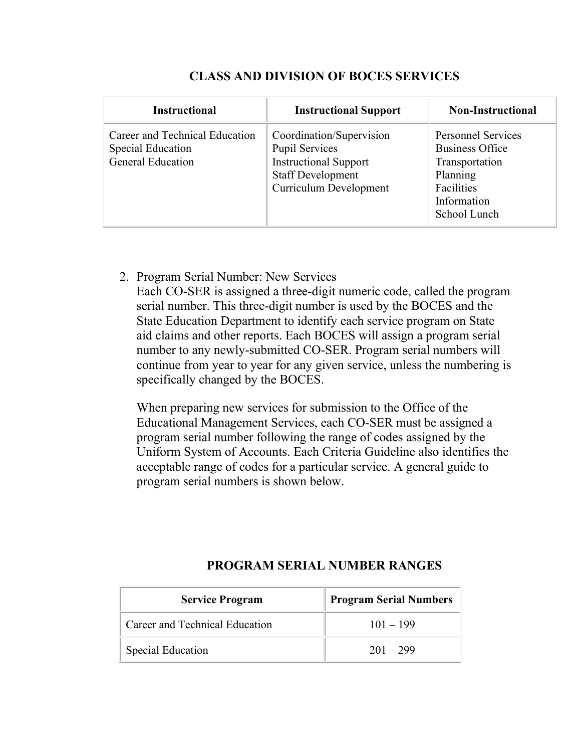| <b>Instructional</b>                                                                   | <b>Instructional Support</b>                                                                                                                   | <b>Non-Instructional</b>                                                                                                       |
|----------------------------------------------------------------------------------------|------------------------------------------------------------------------------------------------------------------------------------------------|--------------------------------------------------------------------------------------------------------------------------------|
| Career and Technical Education<br><b>Special Education</b><br><b>General Education</b> | Coordination/Supervision<br><b>Pupil Services</b><br><b>Instructional Support</b><br><b>Staff Development</b><br><b>Curriculum Development</b> | <b>Personnel Services</b><br><b>Business Office</b><br>Transportation<br>Planning<br>Facilities<br>Information<br>School Lunch |

## **CLASS AND DIVISION OF BOCES SERVICES**

2. Program Serial Number: New Services

Each CO-SER is assigned a three-digit numeric code, called the program serial number. This three-digit number is used by the BOCES and the State Education Department to identify each service program on State aid claims and other reports. Each BOCES will assign a program serial number to any newly-submitted CO-SER. Program serial numbers will continue from year to year for any given service, unless the numbering is specifically changed by the BOCES.

When preparing new services for submission to the Office of the Educational Management Services, each CO-SER must be assigned a program serial number following the range of codes assigned by the Uniform System of Accounts. Each Criteria Guideline also identifies the acceptable range of codes for a particular service. A general guide to program serial numbers is shown below.

| <b>Service Program</b>         | <b>Program Serial Numbers</b> |
|--------------------------------|-------------------------------|
| Career and Technical Education | $101 - 199$                   |
| Special Education              | $201 - 299$                   |

## **PROGRAM SERIAL NUMBER RANGES**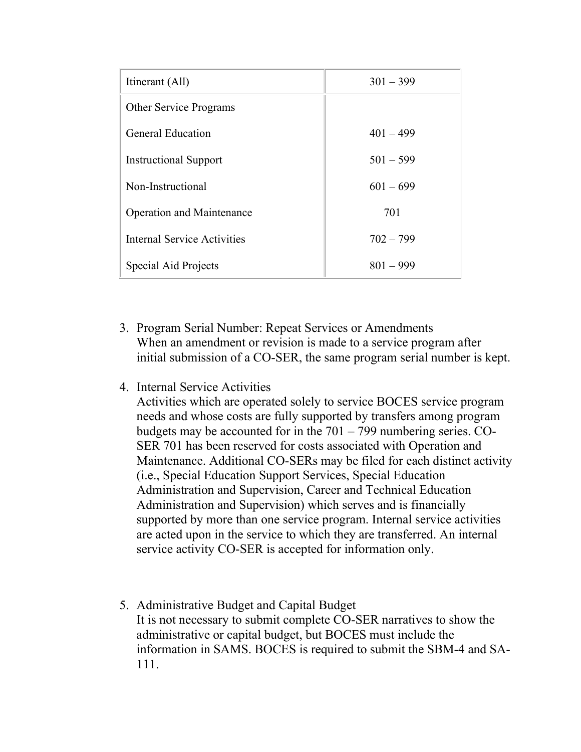| Itinerant (All)                  | $301 - 399$ |
|----------------------------------|-------------|
| <b>Other Service Programs</b>    |             |
| <b>General Education</b>         | $401 - 499$ |
| <b>Instructional Support</b>     | $501 - 599$ |
| Non-Instructional                | $601 - 699$ |
| <b>Operation and Maintenance</b> | 701         |
| Internal Service Activities      | $702 - 799$ |
| Special Aid Projects             | $801 - 999$ |

- 3. Program Serial Number: Repeat Services or Amendments When an amendment or revision is made to a service program after initial submission of a CO-SER, the same program serial number is kept.
- 4. Internal Service Activities

Activities which are operated solely to service BOCES service program needs and whose costs are fully supported by transfers among program budgets may be accounted for in the 701 – 799 numbering series. CO-SER 701 has been reserved for costs associated with Operation and Maintenance. Additional CO-SERs may be filed for each distinct activity (i.e., Special Education Support Services, Special Education Administration and Supervision, Career and Technical Education Administration and Supervision) which serves and is financially supported by more than one service program. Internal service activities are acted upon in the service to which they are transferred. An internal service activity CO-SER is accepted for information only.

5. Administrative Budget and Capital Budget It is not necessary to submit complete CO-SER narratives to show the administrative or capital budget, but BOCES must include the information in SAMS. BOCES is required to submit the SBM-4 and SA-111.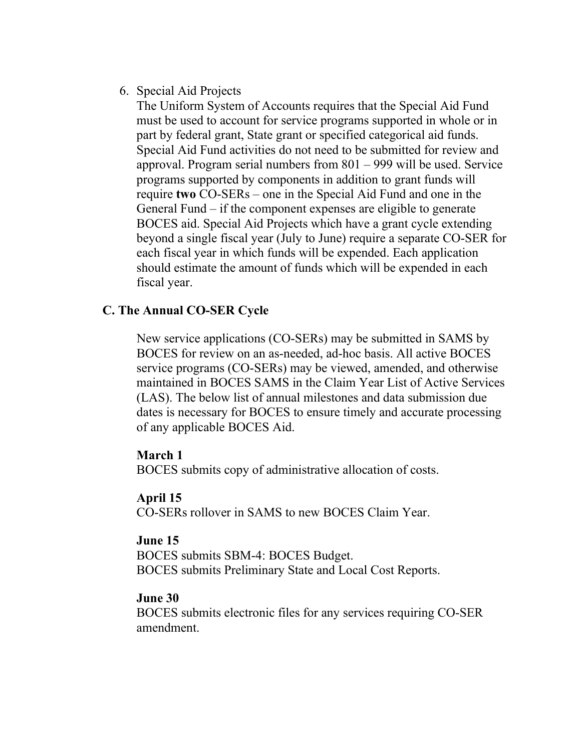## 6. Special Aid Projects

The Uniform System of Accounts requires that the Special Aid Fund must be used to account for service programs supported in whole or in part by federal grant, State grant or specified categorical aid funds. Special Aid Fund activities do not need to be submitted for review and approval. Program serial numbers from 801 – 999 will be used. Service programs supported by components in addition to grant funds will require **two** CO-SERs – one in the Special Aid Fund and one in the General Fund – if the component expenses are eligible to generate BOCES aid. Special Aid Projects which have a grant cycle extending beyond a single fiscal year (July to June) require a separate CO-SER for each fiscal year in which funds will be expended. Each application should estimate the amount of funds which will be expended in each fiscal year.

## **C. The Annual CO-SER Cycle**

New service applications (CO-SERs) may be submitted in SAMS by BOCES for review on an as-needed, ad-hoc basis. All active BOCES service programs (CO-SERs) may be viewed, amended, and otherwise maintained in BOCES SAMS in the Claim Year List of Active Services (LAS). The below list of annual milestones and data submission due dates is necessary for BOCES to ensure timely and accurate processing of any applicable BOCES Aid.

## **March 1**

BOCES submits copy of administrative allocation of costs.

# **April 15**

CO-SERs rollover in SAMS to new BOCES Claim Year.

## **June 15**

BOCES submits SBM-4: BOCES Budget. BOCES submits Preliminary State and Local Cost Reports.

## **June 30**

BOCES submits electronic files for any services requiring CO-SER amendment.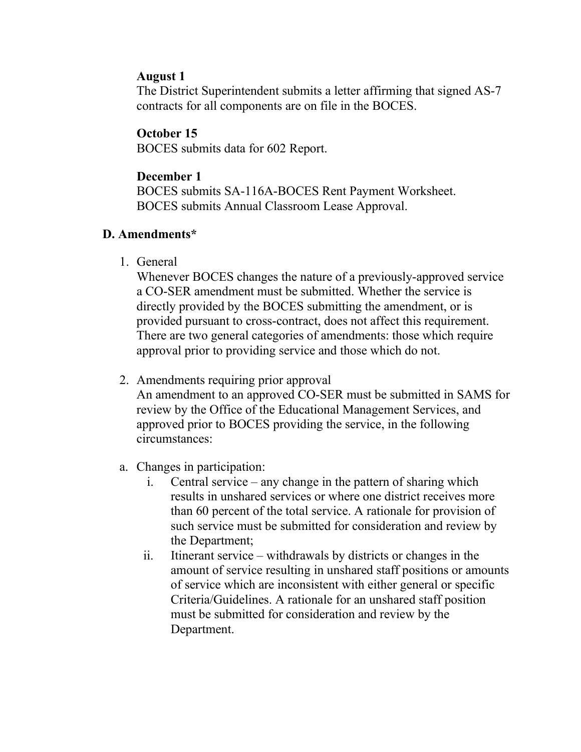#### **August 1**

The District Superintendent submits a letter affirming that signed AS-7 contracts for all components are on file in the BOCES.

## **October 15**

BOCES submits data for 602 Report.

#### **December 1**

BOCES submits SA-116A-BOCES Rent Payment Worksheet. BOCES submits Annual Classroom Lease Approval.

## **D. Amendments\***

1. General

Whenever BOCES changes the nature of a previously-approved service a CO-SER amendment must be submitted. Whether the service is directly provided by the BOCES submitting the amendment, or is provided pursuant to cross-contract, does not affect this requirement. There are two general categories of amendments: those which require approval prior to providing service and those which do not.

2. Amendments requiring prior approval

An amendment to an approved CO-SER must be submitted in SAMS for review by the Office of the Educational Management Services, and approved prior to BOCES providing the service, in the following circumstances:

- a. Changes in participation:
	- i. Central service any change in the pattern of sharing which results in unshared services or where one district receives more than 60 percent of the total service. A rationale for provision of such service must be submitted for consideration and review by the Department;
	- ii. Itinerant service withdrawals by districts or changes in the amount of service resulting in unshared staff positions or amounts of service which are inconsistent with either general or specific Criteria/Guidelines. A rationale for an unshared staff position must be submitted for consideration and review by the Department.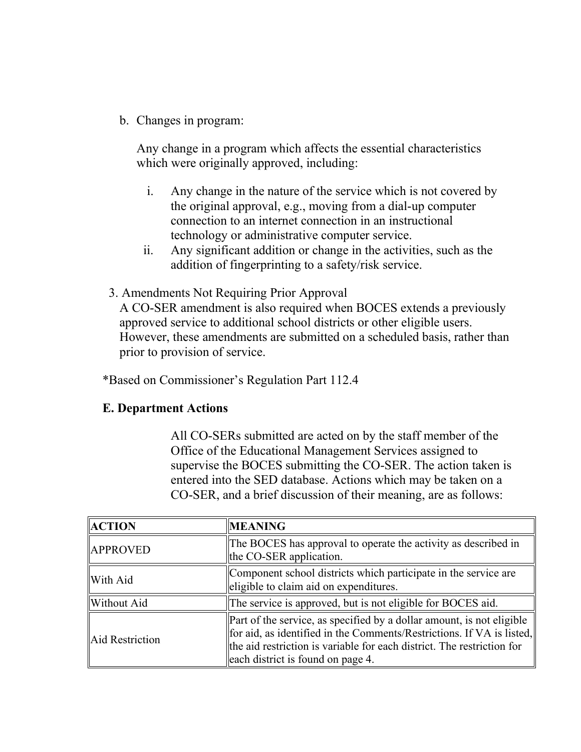b. Changes in program:

Any change in a program which affects the essential characteristics which were originally approved, including:

- i. Any change in the nature of the service which is not covered by the original approval, e.g., moving from a dial-up computer connection to an internet connection in an instructional technology or administrative computer service.
- ii. Any significant addition or change in the activities, such as the addition of fingerprinting to a safety/risk service.
- 3. Amendments Not Requiring Prior Approval

A CO-SER amendment is also required when BOCES extends a previously approved service to additional school districts or other eligible users. However, these amendments are submitted on a scheduled basis, rather than prior to provision of service.

\*Based on Commissioner's Regulation Part 112.4

#### **E. Department Actions**

All CO-SERs submitted are acted on by the staff member of the Office of the Educational Management Services assigned to supervise the BOCES submitting the CO-SER. The action taken is entered into the SED database. Actions which may be taken on a CO-SER, and a brief discussion of their meaning, are as follows:

| <b>ACTION</b>   | <b>MEANING</b>                                                                                                                                                                                                                                                          |
|-----------------|-------------------------------------------------------------------------------------------------------------------------------------------------------------------------------------------------------------------------------------------------------------------------|
| <b>APPROVED</b> | The BOCES has approval to operate the activity as described in<br>the CO-SER application.                                                                                                                                                                               |
| With Aid        | Component school districts which participate in the service are<br>eligible to claim aid on expenditures.                                                                                                                                                               |
| Without Aid     | The service is approved, but is not eligible for BOCES aid.                                                                                                                                                                                                             |
| Aid Restriction | $\left\ $ Part of the service, as specified by a dollar amount, is not eligible<br>for aid, as identified in the Comments/Restrictions. If VA is listed,<br>the aid restriction is variable for each district. The restriction for<br>each district is found on page 4. |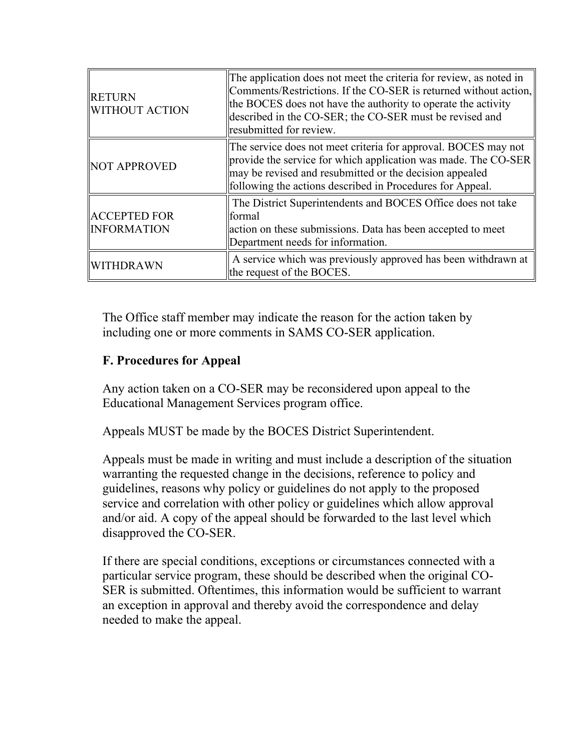| <b>RETURN</b><br><b>WITHOUT ACTION</b>    | The application does not meet the criteria for review, as noted in<br>Comments/Restrictions. If the CO-SER is returned without action,<br>the BOCES does not have the authority to operate the activity<br>described in the CO-SER; the CO-SER must be revised and<br>resubmitted for review. |
|-------------------------------------------|-----------------------------------------------------------------------------------------------------------------------------------------------------------------------------------------------------------------------------------------------------------------------------------------------|
| <b>NOT APPROVED</b>                       | The service does not meet criteria for approval. BOCES may not<br>provide the service for which application was made. The CO-SER<br>may be revised and resubmitted or the decision appealed<br>following the actions described in Procedures for Appeal.                                      |
| <b>ACCEPTED FOR</b><br><b>INFORMATION</b> | The District Superintendents and BOCES Office does not take<br>formal<br>action on these submissions. Data has been accepted to meet<br>Department needs for information.                                                                                                                     |
| WITHDRAWN                                 | A service which was previously approved has been withdrawn at<br>the request of the BOCES.                                                                                                                                                                                                    |

The Office staff member may indicate the reason for the action taken by including one or more comments in SAMS CO-SER application.

# **F. Procedures for Appeal**

Any action taken on a CO-SER may be reconsidered upon appeal to the Educational Management Services program office.

Appeals MUST be made by the BOCES District Superintendent.

Appeals must be made in writing and must include a description of the situation warranting the requested change in the decisions, reference to policy and guidelines, reasons why policy or guidelines do not apply to the proposed service and correlation with other policy or guidelines which allow approval and/or aid. A copy of the appeal should be forwarded to the last level which disapproved the CO-SER.

If there are special conditions, exceptions or circumstances connected with a particular service program, these should be described when the original CO-SER is submitted. Oftentimes, this information would be sufficient to warrant an exception in approval and thereby avoid the correspondence and delay needed to make the appeal.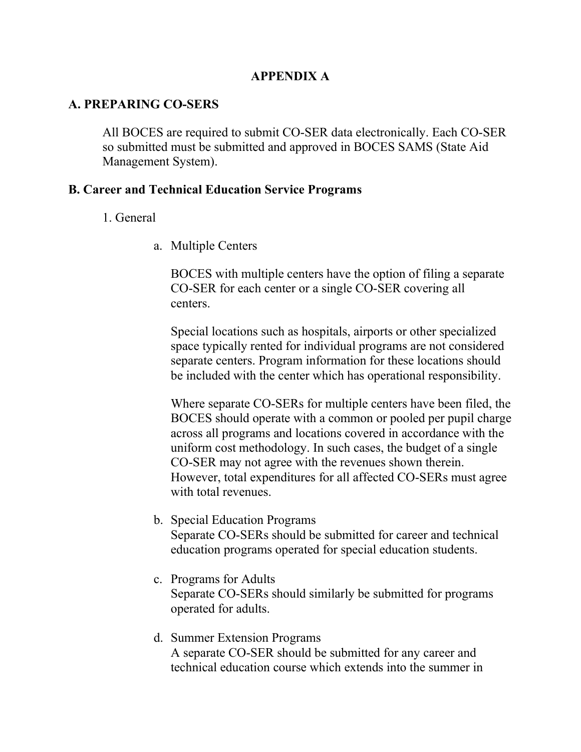#### **APPENDIX A**

#### **A. PREPARING CO-SERS**

All BOCES are required to submit CO-SER data electronically. Each CO-SER so submitted must be submitted and approved in BOCES SAMS (State Aid Management System).

#### **B. Career and Technical Education Service Programs**

- 1. General
	- a. Multiple Centers

BOCES with multiple centers have the option of filing a separate CO-SER for each center or a single CO-SER covering all centers.

Special locations such as hospitals, airports or other specialized space typically rented for individual programs are not considered separate centers. Program information for these locations should be included with the center which has operational responsibility.

Where separate CO-SERs for multiple centers have been filed, the BOCES should operate with a common or pooled per pupil charge across all programs and locations covered in accordance with the uniform cost methodology. In such cases, the budget of a single CO-SER may not agree with the revenues shown therein. However, total expenditures for all affected CO-SERs must agree with total revenues.

- b. Special Education Programs Separate CO-SERs should be submitted for career and technical education programs operated for special education students.
- c. Programs for Adults Separate CO-SERs should similarly be submitted for programs operated for adults.
- d. Summer Extension Programs A separate CO-SER should be submitted for any career and technical education course which extends into the summer in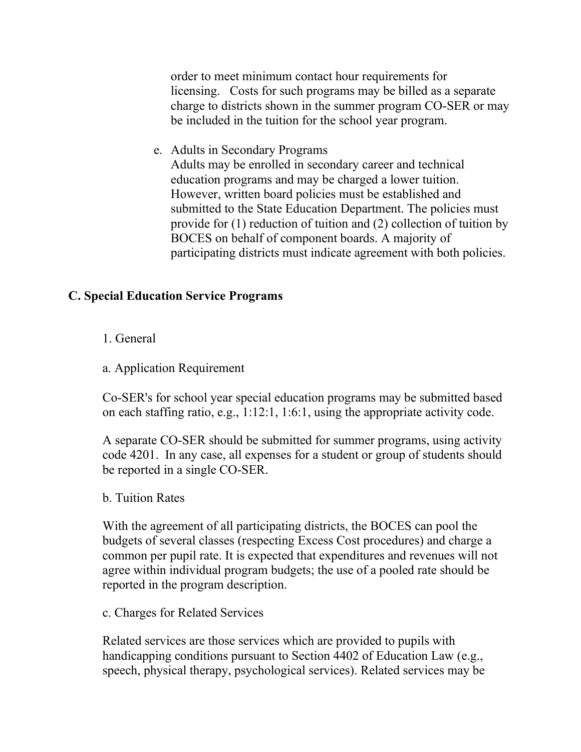order to meet minimum contact hour requirements for licensing. Costs for such programs may be billed as a separate charge to districts shown in the summer program CO-SER or may be included in the tuition for the school year program.

e. Adults in Secondary Programs

Adults may be enrolled in secondary career and technical education programs and may be charged a lower tuition. However, written board policies must be established and submitted to the State Education Department. The policies must provide for (1) reduction of tuition and (2) collection of tuition by BOCES on behalf of component boards. A majority of participating districts must indicate agreement with both policies.

## **C. Special Education Service Programs**

- 1. General
- a. Application Requirement

Co-SER's for school year special education programs may be submitted based on each staffing ratio, e.g., 1:12:1, 1:6:1, using the appropriate activity code.

A separate CO-SER should be submitted for summer programs, using activity code 4201. In any case, all expenses for a student or group of students should be reported in a single CO-SER.

#### b. Tuition Rates

With the agreement of all participating districts, the BOCES can pool the budgets of several classes (respecting Excess Cost procedures) and charge a common per pupil rate. It is expected that expenditures and revenues will not agree within individual program budgets; the use of a pooled rate should be reported in the program description.

c. Charges for Related Services

Related services are those services which are provided to pupils with handicapping conditions pursuant to Section 4402 of Education Law (e.g., speech, physical therapy, psychological services). Related services may be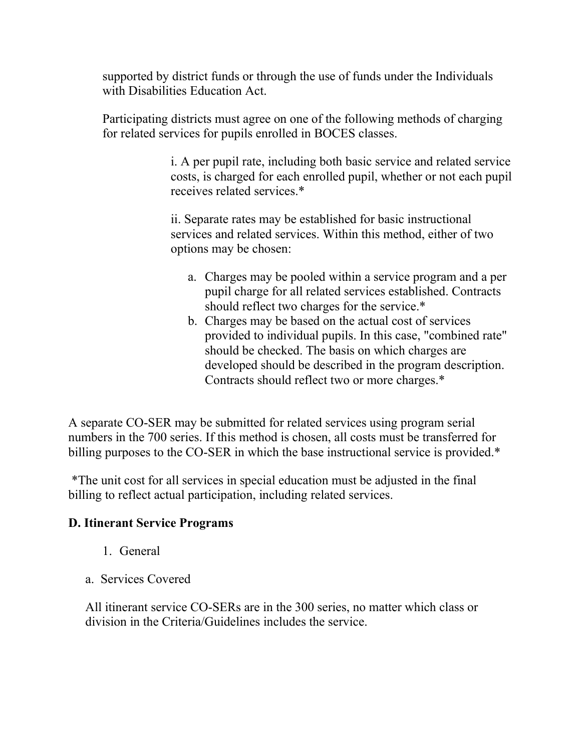supported by district funds or through the use of funds under the Individuals with Disabilities Education Act.

Participating districts must agree on one of the following methods of charging for related services for pupils enrolled in BOCES classes.

> i. A per pupil rate, including both basic service and related service costs, is charged for each enrolled pupil, whether or not each pupil receives related services.\*

ii. Separate rates may be established for basic instructional services and related services. Within this method, either of two options may be chosen:

- a. Charges may be pooled within a service program and a per pupil charge for all related services established. Contracts should reflect two charges for the service.\*
- b. Charges may be based on the actual cost of services provided to individual pupils. In this case, "combined rate" should be checked. The basis on which charges are developed should be described in the program description. Contracts should reflect two or more charges.\*

A separate CO-SER may be submitted for related services using program serial numbers in the 700 series. If this method is chosen, all costs must be transferred for billing purposes to the CO-SER in which the base instructional service is provided.\*

\*The unit cost for all services in special education must be adjusted in the final billing to reflect actual participation, including related services.

## **D. Itinerant Service Programs**

- 1. General
- a. Services Covered

All itinerant service CO-SERs are in the 300 series, no matter which class or division in the Criteria/Guidelines includes the service.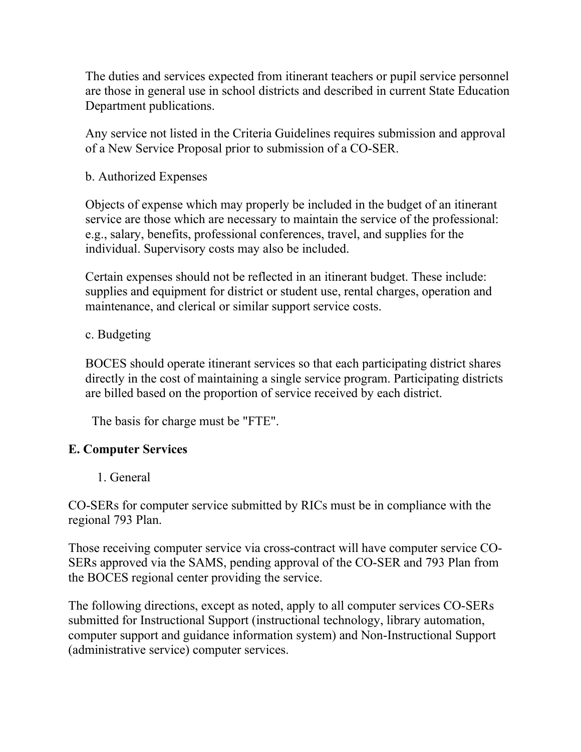The duties and services expected from itinerant teachers or pupil service personnel are those in general use in school districts and described in current State Education Department publications.

Any service not listed in the Criteria Guidelines requires submission and approval of a New Service Proposal prior to submission of a CO-SER.

b. Authorized Expenses

Objects of expense which may properly be included in the budget of an itinerant service are those which are necessary to maintain the service of the professional: e.g., salary, benefits, professional conferences, travel, and supplies for the individual. Supervisory costs may also be included.

Certain expenses should not be reflected in an itinerant budget. These include: supplies and equipment for district or student use, rental charges, operation and maintenance, and clerical or similar support service costs.

## c. Budgeting

BOCES should operate itinerant services so that each participating district shares directly in the cost of maintaining a single service program. Participating districts are billed based on the proportion of service received by each district.

The basis for charge must be "FTE".

## **E. Computer Services**

1. General

CO-SERs for computer service submitted by RICs must be in compliance with the regional 793 Plan.

Those receiving computer service via cross-contract will have computer service CO-SERs approved via the SAMS, pending approval of the CO-SER and 793 Plan from the BOCES regional center providing the service.

The following directions, except as noted, apply to all computer services CO-SERs submitted for Instructional Support (instructional technology, library automation, computer support and guidance information system) and Non-Instructional Support (administrative service) computer services.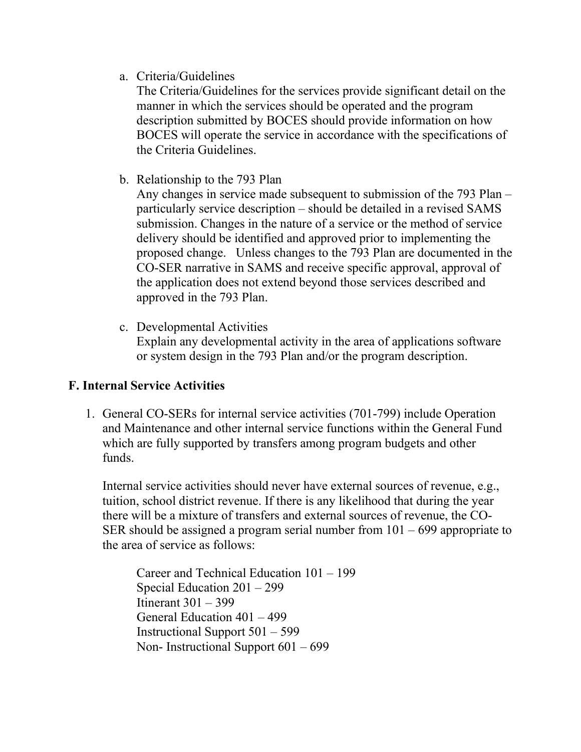a. Criteria/Guidelines

The Criteria/Guidelines for the services provide significant detail on the manner in which the services should be operated and the program description submitted by BOCES should provide information on how BOCES will operate the service in accordance with the specifications of the Criteria Guidelines.

b. Relationship to the 793 Plan

Any changes in service made subsequent to submission of the 793 Plan – particularly service description – should be detailed in a revised SAMS submission. Changes in the nature of a service or the method of service delivery should be identified and approved prior to implementing the proposed change. Unless changes to the 793 Plan are documented in the CO-SER narrative in SAMS and receive specific approval, approval of the application does not extend beyond those services described and approved in the 793 Plan.

c. Developmental Activities Explain any developmental activity in the area of applications software or system design in the 793 Plan and/or the program description.

## **F. Internal Service Activities**

1. General CO-SERs for internal service activities (701-799) include Operation and Maintenance and other internal service functions within the General Fund which are fully supported by transfers among program budgets and other funds.

Internal service activities should never have external sources of revenue, e.g., tuition, school district revenue. If there is any likelihood that during the year there will be a mixture of transfers and external sources of revenue, the CO-SER should be assigned a program serial number from  $101 - 699$  appropriate to the area of service as follows:

Career and Technical Education 101 – 199 Special Education 201 – 299 Itinerant 301 – 399 General Education 401 – 499 Instructional Support 501 – 599 Non- Instructional Support 601 – 699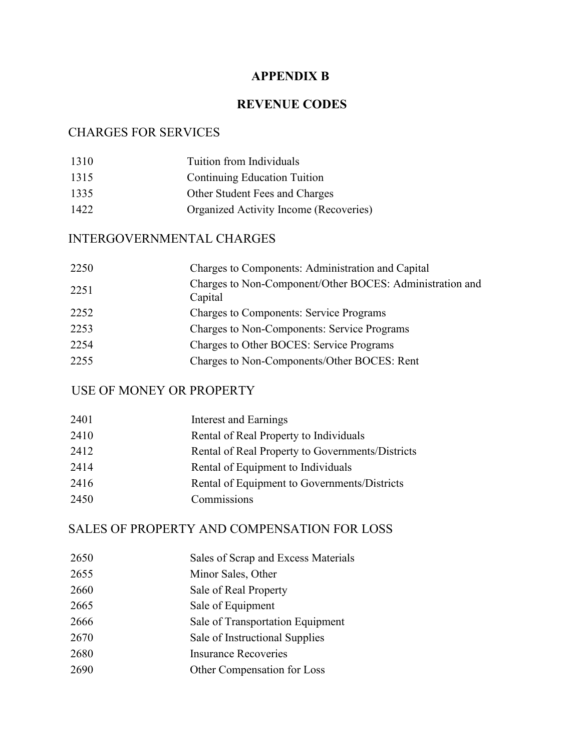## **APPENDIX B**

#### **REVENUE CODES**

#### CHARGES FOR SERVICES

1310 Tuition from Individuals Continuing Education Tuition Other Student Fees and Charges Organized Activity Income (Recoveries)

#### INTERGOVERNMENTAL CHARGES

| 2250 | Charges to Components: Administration and Capital                   |
|------|---------------------------------------------------------------------|
| 2251 | Charges to Non-Component/Other BOCES: Administration and<br>Capital |
| 2252 | <b>Charges to Components: Service Programs</b>                      |
| 2253 | <b>Charges to Non-Components: Service Programs</b>                  |
| 2254 | Charges to Other BOCES: Service Programs                            |
| 2255 | Charges to Non-Components/Other BOCES: Rent                         |

#### USE OF MONEY OR PROPERTY

| 2401 | Interest and Earnings                            |
|------|--------------------------------------------------|
| 2410 | Rental of Real Property to Individuals           |
| 2412 | Rental of Real Property to Governments/Districts |
| 2414 | Rental of Equipment to Individuals               |
| 2416 | Rental of Equipment to Governments/Districts     |
| 2450 | Commissions                                      |
|      |                                                  |

## SALES OF PROPERTY AND COMPENSATION FOR LOSS

- Sales of Scrap and Excess Materials
- Minor Sales, Other
- Sale of Real Property
- Sale of Equipment
- Sale of Transportation Equipment
- Sale of Instructional Supplies
- Insurance Recoveries
- Other Compensation for Loss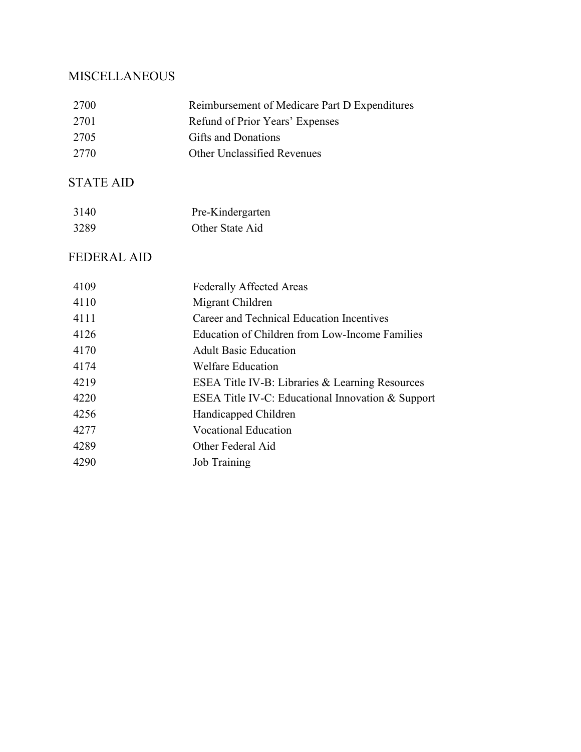# **MISCELLANEOUS**

| 2700               | Reimbursement of Medicare Part D Expenditures     |
|--------------------|---------------------------------------------------|
| 2701               | Refund of Prior Years' Expenses                   |
| 2705               | Gifts and Donations                               |
| 2770               | Other Unclassified Revenues                       |
| <b>STATE AID</b>   |                                                   |
| 3140               | Pre-Kindergarten                                  |
| 3289               | Other State Aid                                   |
| <b>FEDERAL AID</b> |                                                   |
| 4109               | <b>Federally Affected Areas</b>                   |
| 4110               | Migrant Children                                  |
| 4111               | Career and Technical Education Incentives         |
| 4126               | Education of Children from Low-Income Families    |
| 4170               | <b>Adult Basic Education</b>                      |
| 4174               | <b>Welfare Education</b>                          |
| 4219               | ESEA Title IV-B: Libraries & Learning Resources   |
| 4220               | ESEA Title IV-C: Educational Innovation & Support |
| 4256               | Handicapped Children                              |
| 4277               | <b>Vocational Education</b>                       |
| 4289               | Other Federal Aid                                 |
| 4290               | <b>Job Training</b>                               |
|                    |                                                   |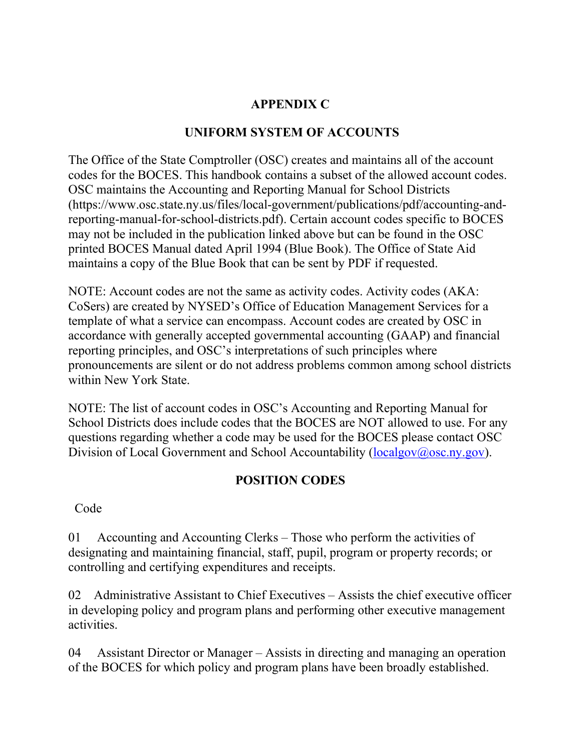# **APPENDIX C**

# **UNIFORM SYSTEM OF ACCOUNTS**

The Office of the State Comptroller (OSC) creates and maintains all of the account codes for the BOCES. This handbook contains a subset of the allowed account codes. OSC maintains the Accounting and Reporting Manual for School Districts (https://www.osc.state.ny.us/files/local-government/publications/pdf/accounting-andreporting-manual-for-school-districts.pdf). Certain account codes specific to BOCES may not be included in the publication linked above but can be found in the OSC printed BOCES Manual dated April 1994 (Blue Book). The Office of State Aid maintains a copy of the Blue Book that can be sent by PDF if requested.

NOTE: Account codes are not the same as activity codes. Activity codes (AKA: CoSers) are created by NYSED's Office of Education Management Services for a template of what a service can encompass. Account codes are created by OSC in accordance with generally accepted governmental accounting (GAAP) and financial reporting principles, and OSC's interpretations of such principles where pronouncements are silent or do not address problems common among school districts within New York State.

NOTE: The list of account codes in OSC's Accounting and Reporting Manual for School Districts does include codes that the BOCES are NOT allowed to use. For any questions regarding whether a code may be used for the BOCES please contact OSC Division of Local Government and School Accountability [\(localgov@osc.ny.gov\)](mailto:localgov@osc.ny.gov).

## **POSITION CODES**

Code

01 Accounting and Accounting Clerks – Those who perform the activities of designating and maintaining financial, staff, pupil, program or property records; or controlling and certifying expenditures and receipts.

02 Administrative Assistant to Chief Executives – Assists the chief executive officer in developing policy and program plans and performing other executive management activities.

04 Assistant Director or Manager – Assists in directing and managing an operation of the BOCES for which policy and program plans have been broadly established.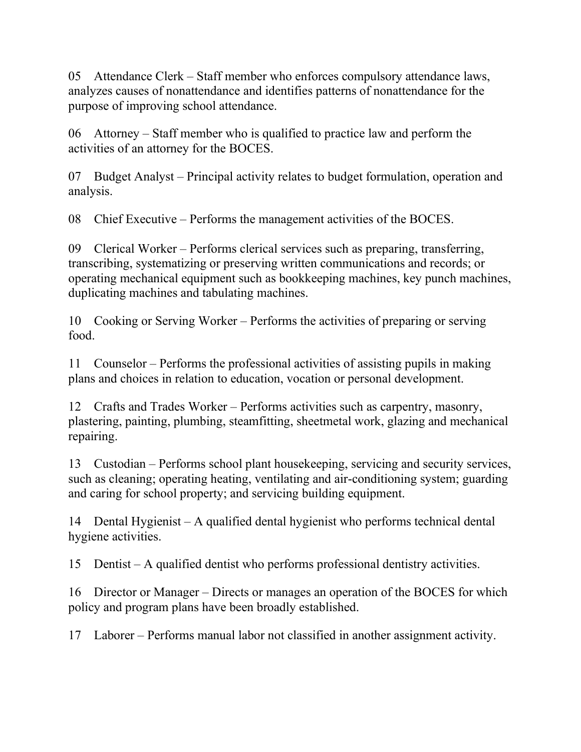05 Attendance Clerk – Staff member who enforces compulsory attendance laws, analyzes causes of nonattendance and identifies patterns of nonattendance for the purpose of improving school attendance.

06 Attorney – Staff member who is qualified to practice law and perform the activities of an attorney for the BOCES.

07 Budget Analyst – Principal activity relates to budget formulation, operation and analysis.

08 Chief Executive – Performs the management activities of the BOCES.

09 Clerical Worker – Performs clerical services such as preparing, transferring, transcribing, systematizing or preserving written communications and records; or operating mechanical equipment such as bookkeeping machines, key punch machines, duplicating machines and tabulating machines.

10 Cooking or Serving Worker – Performs the activities of preparing or serving food.

11 Counselor – Performs the professional activities of assisting pupils in making plans and choices in relation to education, vocation or personal development.

12 Crafts and Trades Worker – Performs activities such as carpentry, masonry, plastering, painting, plumbing, steamfitting, sheetmetal work, glazing and mechanical repairing.

13 Custodian – Performs school plant housekeeping, servicing and security services, such as cleaning; operating heating, ventilating and air-conditioning system; guarding and caring for school property; and servicing building equipment.

14 Dental Hygienist – A qualified dental hygienist who performs technical dental hygiene activities.

15 Dentist – A qualified dentist who performs professional dentistry activities.

16 Director or Manager – Directs or manages an operation of the BOCES for which policy and program plans have been broadly established.

17 Laborer – Performs manual labor not classified in another assignment activity.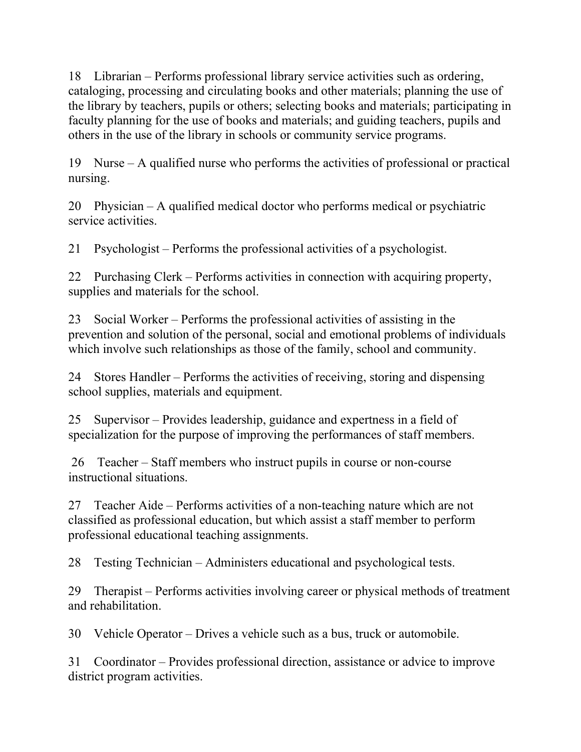18 Librarian – Performs professional library service activities such as ordering, cataloging, processing and circulating books and other materials; planning the use of the library by teachers, pupils or others; selecting books and materials; participating in faculty planning for the use of books and materials; and guiding teachers, pupils and others in the use of the library in schools or community service programs.

19 Nurse – A qualified nurse who performs the activities of professional or practical nursing.

20 Physician – A qualified medical doctor who performs medical or psychiatric service activities.

21 Psychologist – Performs the professional activities of a psychologist.

22 Purchasing Clerk – Performs activities in connection with acquiring property, supplies and materials for the school.

23 Social Worker – Performs the professional activities of assisting in the prevention and solution of the personal, social and emotional problems of individuals which involve such relationships as those of the family, school and community.

24 Stores Handler – Performs the activities of receiving, storing and dispensing school supplies, materials and equipment.

25 Supervisor – Provides leadership, guidance and expertness in a field of specialization for the purpose of improving the performances of staff members.

26 Teacher – Staff members who instruct pupils in course or non-course instructional situations.

27 Teacher Aide – Performs activities of a non-teaching nature which are not classified as professional education, but which assist a staff member to perform professional educational teaching assignments.

28 Testing Technician – Administers educational and psychological tests.

29 Therapist – Performs activities involving career or physical methods of treatment and rehabilitation.

30 Vehicle Operator – Drives a vehicle such as a bus, truck or automobile.

31 Coordinator – Provides professional direction, assistance or advice to improve district program activities.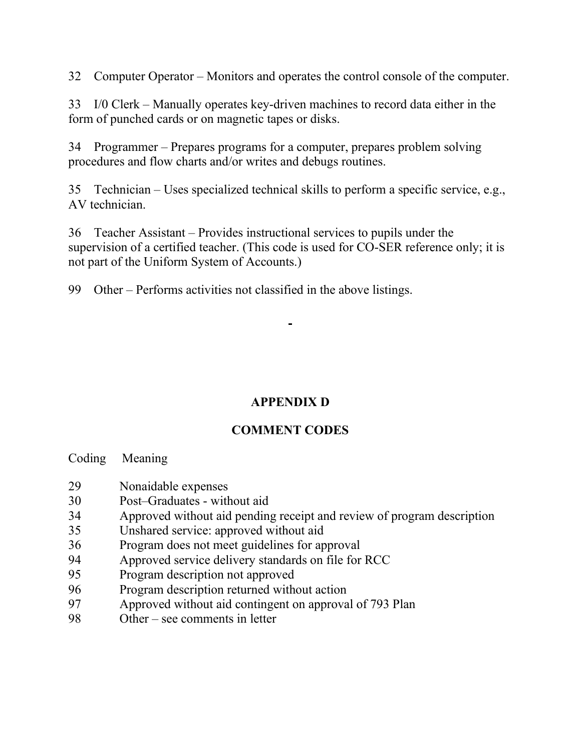32 Computer Operator – Monitors and operates the control console of the computer.

33 I/0 Clerk – Manually operates key-driven machines to record data either in the form of punched cards or on magnetic tapes or disks.

34 Programmer – Prepares programs for a computer, prepares problem solving procedures and flow charts and/or writes and debugs routines.

35 Technician – Uses specialized technical skills to perform a specific service, e.g., AV technician.

36 Teacher Assistant – Provides instructional services to pupils under the supervision of a certified teacher. (This code is used for CO-SER reference only; it is not part of the Uniform System of Accounts.)

99 Other – Performs activities not classified in the above listings.

# **APPENDIX D**

# **COMMENT CODES**

Coding Meaning

- 29 Nonaidable expenses
- 30 Post–Graduates without aid
- 34 Approved without aid pending receipt and review of program description
- 35 Unshared service: approved without aid
- 36 Program does not meet guidelines for approval
- 94 Approved service delivery standards on file for RCC
- 95 Program description not approved
- 96 Program description returned without action
- 97 Approved without aid contingent on approval of 793 Plan
- 98 Other see comments in letter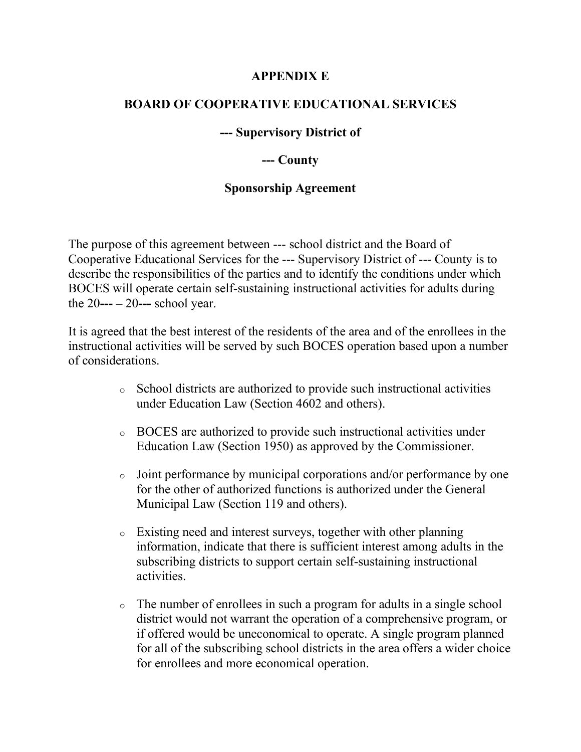#### **APPENDIX E**

#### **BOARD OF COOPERATIVE EDUCATIONAL SERVICES**

#### **--- Supervisory District of**

#### **--- County**

#### **Sponsorship Agreement**

The purpose of this agreement between --- school district and the Board of Cooperative Educational Services for the --- Supervisory District of --- County is to describe the responsibilities of the parties and to identify the conditions under which BOCES will operate certain self-sustaining instructional activities for adults during the 20**--- –** 20**---** school year.

It is agreed that the best interest of the residents of the area and of the enrollees in the instructional activities will be served by such BOCES operation based upon a number of considerations.

- <sup>o</sup> School districts are authorized to provide such instructional activities under Education Law (Section 4602 and others).
- <sup>o</sup> BOCES are authorized to provide such instructional activities under Education Law (Section 1950) as approved by the Commissioner.
- <sup>o</sup> Joint performance by municipal corporations and/or performance by one for the other of authorized functions is authorized under the General Municipal Law (Section 119 and others).
- <sup>o</sup> Existing need and interest surveys, together with other planning information, indicate that there is sufficient interest among adults in the subscribing districts to support certain self-sustaining instructional activities.
- <sup>o</sup> The number of enrollees in such a program for adults in a single school district would not warrant the operation of a comprehensive program, or if offered would be uneconomical to operate. A single program planned for all of the subscribing school districts in the area offers a wider choice for enrollees and more economical operation.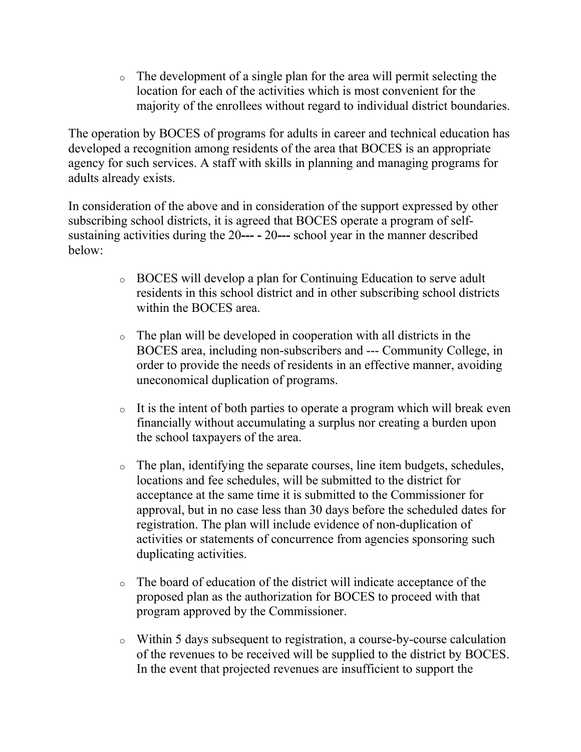<sup>o</sup> The development of a single plan for the area will permit selecting the location for each of the activities which is most convenient for the majority of the enrollees without regard to individual district boundaries.

The operation by BOCES of programs for adults in career and technical education has developed a recognition among residents of the area that BOCES is an appropriate agency for such services. A staff with skills in planning and managing programs for adults already exists.

In consideration of the above and in consideration of the support expressed by other subscribing school districts, it is agreed that BOCES operate a program of selfsustaining activities during the 20**--- -** 20**---** school year in the manner described below:

- <sup>o</sup> BOCES will develop a plan for Continuing Education to serve adult residents in this school district and in other subscribing school districts within the BOCES area.
- <sup>o</sup> The plan will be developed in cooperation with all districts in the BOCES area, including non-subscribers and --- Community College, in order to provide the needs of residents in an effective manner, avoiding uneconomical duplication of programs.
- $\circ$  It is the intent of both parties to operate a program which will break even financially without accumulating a surplus nor creating a burden upon the school taxpayers of the area.
- <sup>o</sup> The plan, identifying the separate courses, line item budgets, schedules, locations and fee schedules, will be submitted to the district for acceptance at the same time it is submitted to the Commissioner for approval, but in no case less than 30 days before the scheduled dates for registration. The plan will include evidence of non-duplication of activities or statements of concurrence from agencies sponsoring such duplicating activities.
- <sup>o</sup> The board of education of the district will indicate acceptance of the proposed plan as the authorization for BOCES to proceed with that program approved by the Commissioner.
- <sup>o</sup> Within 5 days subsequent to registration, a course-by-course calculation of the revenues to be received will be supplied to the district by BOCES. In the event that projected revenues are insufficient to support the